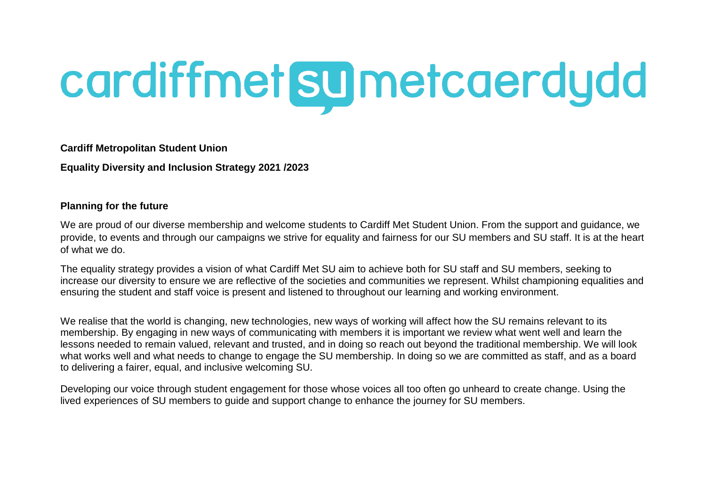# cardiffmet sumetcaerdydd

**Cardiff Metropolitan Student Union** 

**Equality Diversity and Inclusion Strategy 2021 /2023** 

#### **Planning for the future**

We are proud of our diverse membership and welcome students to Cardiff Met Student Union. From the support and guidance, we provide, to events and through our campaigns we strive for equality and fairness for our SU members and SU staff. It is at the heart of what we do.

The equality strategy provides a vision of what Cardiff Met SU aim to achieve both for SU staff and SU members, seeking to increase our diversity to ensure we are reflective of the societies and communities we represent. Whilst championing equalities and ensuring the student and staff voice is present and listened to throughout our learning and working environment.

We realise that the world is changing, new technologies, new ways of working will affect how the SU remains relevant to its membership. By engaging in new ways of communicating with members it is important we review what went well and learn the lessons needed to remain valued, relevant and trusted, and in doing so reach out beyond the traditional membership. We will look what works well and what needs to change to engage the SU membership. In doing so we are committed as staff, and as a board to delivering a fairer, equal, and inclusive welcoming SU.

Developing our voice through student engagement for those whose voices all too often go unheard to create change. Using the lived experiences of SU members to guide and support change to enhance the journey for SU members.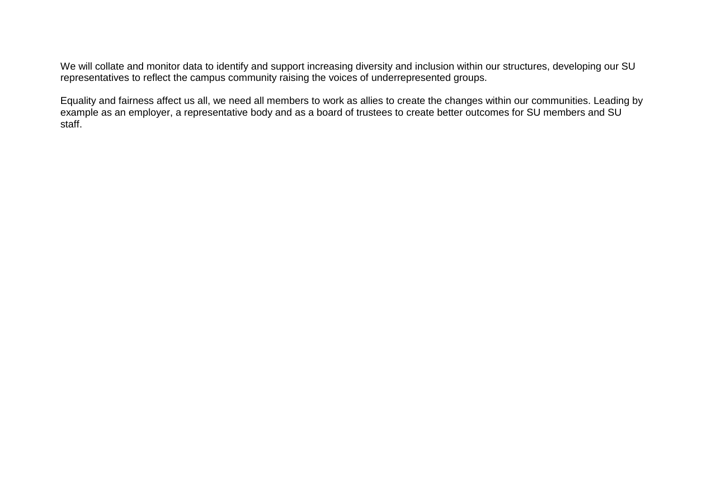We will collate and monitor data to identify and support increasing diversity and inclusion within our structures, developing our SU representatives to reflect the campus community raising the voices of underrepresented groups.

Equality and fairness affect us all, we need all members to work as allies to create the changes within our communities. Leading by example as an employer, a representative body and as a board of trustees to create better outcomes for SU members and SU staff.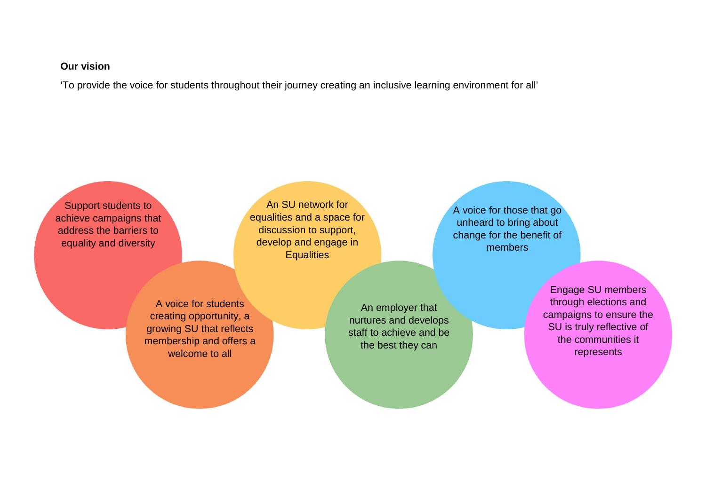#### **Our vision**

'To provide the voice for students throughout their journey creating an inclusive learning environment for all'

Support students to achieve campaigns that address the barriers to equality and diversity

An SU network for equalities and a space for discussion to support, develop and engage in **Equalities** 

A voice for students creating opportunity, a growing SU that reflects membership and offers a welcome to all

An employer that nurtures and develops staff to achieve and be the best they can

A voice for those that go unheard to bring about change for the benefit of members

> Engage SU members through elections and campaigns to ensure the SU is truly reflective of the communities it represents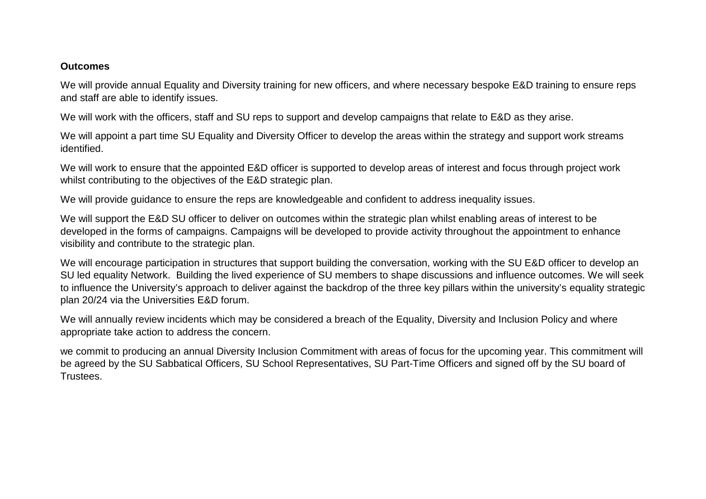#### **Outcomes**

We will provide annual Equality and Diversity training for new officers, and where necessary bespoke E&D training to ensure reps and staff are able to identify issues.

We will work with the officers, staff and SU reps to support and develop campaigns that relate to E&D as they arise.

We will appoint a part time SU Equality and Diversity Officer to develop the areas within the strategy and support work streams identified.

We will work to ensure that the appointed E&D officer is supported to develop areas of interest and focus through project work whilst contributing to the objectives of the E&D strategic plan.

We will provide guidance to ensure the reps are knowledgeable and confident to address inequality issues.

We will support the E&D SU officer to deliver on outcomes within the strategic plan whilst enabling areas of interest to be developed in the forms of campaigns. Campaigns will be developed to provide activity throughout the appointment to enhance visibility and contribute to the strategic plan.

We will encourage participation in structures that support building the conversation, working with the SU E&D officer to develop an SU led equality Network. Building the lived experience of SU members to shape discussions and influence outcomes. We will seek to influence the University's approach to deliver against the backdrop of the three key pillars within the university's equality strategic plan 20/24 via the Universities E&D forum.

We will annually review incidents which may be considered a breach of the Equality, Diversity and Inclusion Policy and where appropriate take action to address the concern.

we commit to producing an annual Diversity Inclusion Commitment with areas of focus for the upcoming year. This commitment will be agreed by the SU Sabbatical Officers, SU School Representatives, SU Part-Time Officers and signed off by the SU board of Trustees.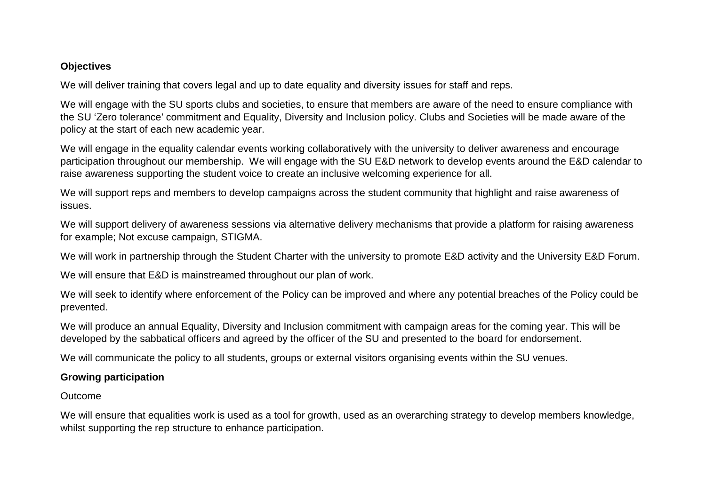#### **Objectives**

We will deliver training that covers legal and up to date equality and diversity issues for staff and reps.

We will engage with the SU sports clubs and societies, to ensure that members are aware of the need to ensure compliance with the SU 'Zero tolerance' commitment and Equality, Diversity and Inclusion policy. Clubs and Societies will be made aware of the policy at the start of each new academic year.

We will engage in the equality calendar events working collaboratively with the university to deliver awareness and encourage participation throughout our membership. We will engage with the SU E&D network to develop events around the E&D calendar to raise awareness supporting the student voice to create an inclusive welcoming experience for all.

We will support reps and members to develop campaigns across the student community that highlight and raise awareness of issues.

We will support delivery of awareness sessions via alternative delivery mechanisms that provide a platform for raising awareness for example; Not excuse campaign, STIGMA.

We will work in partnership through the Student Charter with the university to promote E&D activity and the University E&D Forum.

We will ensure that E&D is mainstreamed throughout our plan of work.

We will seek to identify where enforcement of the Policy can be improved and where any potential breaches of the Policy could be prevented.

We will produce an annual Equality, Diversity and Inclusion commitment with campaign areas for the coming year. This will be developed by the sabbatical officers and agreed by the officer of the SU and presented to the board for endorsement.

We will communicate the policy to all students, groups or external visitors organising events within the SU venues.

# **Growing participation**

# **Outcome**

We will ensure that equalities work is used as a tool for growth, used as an overarching strategy to develop members knowledge, whilst supporting the rep structure to enhance participation.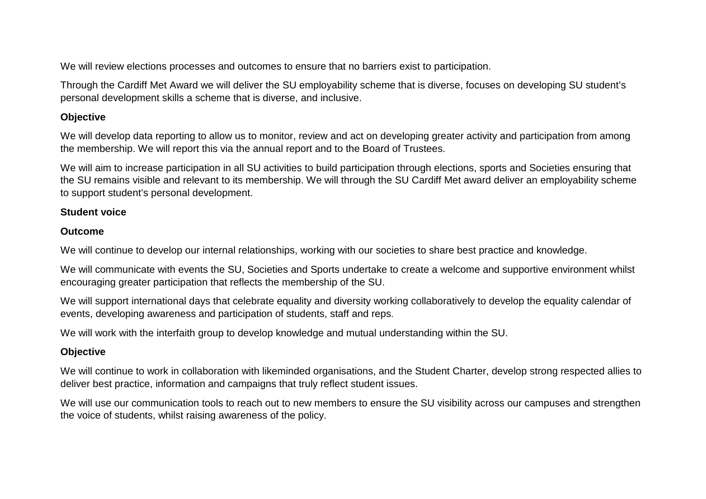We will review elections processes and outcomes to ensure that no barriers exist to participation.

Through the Cardiff Met Award we will deliver the SU employability scheme that is diverse, focuses on developing SU student's personal development skills a scheme that is diverse, and inclusive.

# **Objective**

We will develop data reporting to allow us to monitor, review and act on developing greater activity and participation from among the membership. We will report this via the annual report and to the Board of Trustees.

We will aim to increase participation in all SU activities to build participation through elections, sports and Societies ensuring that the SU remains visible and relevant to its membership. We will through the SU Cardiff Met award deliver an employability scheme to support student's personal development.

## **Student voice**

## **Outcome**

We will continue to develop our internal relationships, working with our societies to share best practice and knowledge.

We will communicate with events the SU, Societies and Sports undertake to create a welcome and supportive environment whilst encouraging greater participation that reflects the membership of the SU.

We will support international days that celebrate equality and diversity working collaboratively to develop the equality calendar of events, developing awareness and participation of students, staff and reps.

We will work with the interfaith group to develop knowledge and mutual understanding within the SU.

# **Objective**

We will continue to work in collaboration with likeminded organisations, and the Student Charter, develop strong respected allies to deliver best practice, information and campaigns that truly reflect student issues.

We will use our communication tools to reach out to new members to ensure the SU visibility across our campuses and strengthen the voice of students, whilst raising awareness of the policy.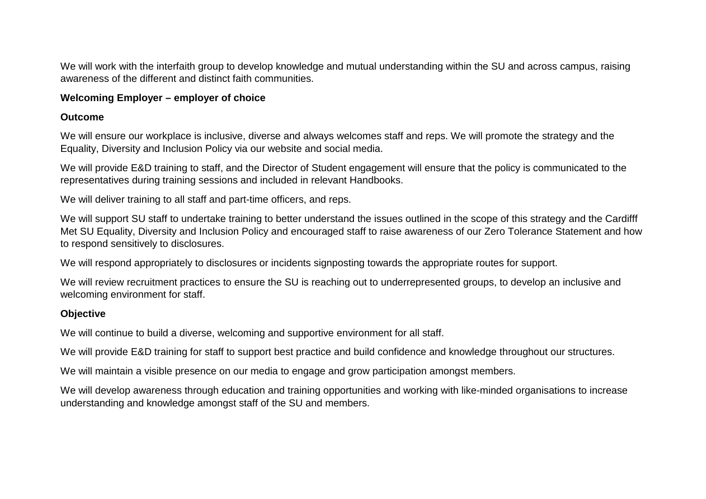We will work with the interfaith group to develop knowledge and mutual understanding within the SU and across campus, raising awareness of the different and distinct faith communities.

#### **Welcoming Employer – employer of choice**

#### **Outcome**

We will ensure our workplace is inclusive, diverse and always welcomes staff and reps. We will promote the strategy and the Equality, Diversity and Inclusion Policy via our website and social media.

We will provide E&D training to staff, and the Director of Student engagement will ensure that the policy is communicated to the representatives during training sessions and included in relevant Handbooks.

We will deliver training to all staff and part-time officers, and reps.

We will support SU staff to undertake training to better understand the issues outlined in the scope of this strategy and the Cardifff Met SU Equality, Diversity and Inclusion Policy and encouraged staff to raise awareness of our Zero Tolerance Statement and how to respond sensitively to disclosures.

We will respond appropriately to disclosures or incidents signposting towards the appropriate routes for support.

We will review recruitment practices to ensure the SU is reaching out to underrepresented groups, to develop an inclusive and welcoming environment for staff.

#### **Objective**

We will continue to build a diverse, welcoming and supportive environment for all staff.

We will provide E&D training for staff to support best practice and build confidence and knowledge throughout our structures.

We will maintain a visible presence on our media to engage and grow participation amongst members.

We will develop awareness through education and training opportunities and working with like-minded organisations to increase understanding and knowledge amongst staff of the SU and members.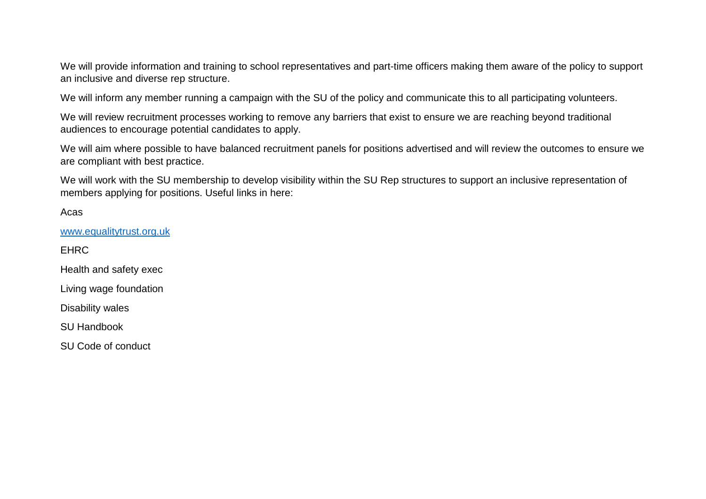We will provide information and training to school representatives and part-time officers making them aware of the policy to support an inclusive and diverse rep structure.

We will inform any member running a campaign with the SU of the policy and communicate this to all participating volunteers.

We will review recruitment processes working to remove any barriers that exist to ensure we are reaching beyond traditional audiences to encourage potential candidates to apply.

We will aim where possible to have balanced recruitment panels for positions advertised and will review the outcomes to ensure we are compliant with best practice.

We will work with the SU membership to develop visibility within the SU Rep structures to support an inclusive representation of members applying for positions. Useful links in here:

Acas

[www.equalitytrust.org.uk](http://www.equalitytrust.org.uk/)

EHRC

Health and safety exec

Living wage foundation

Disability wales

SU Handbook

SU Code of conduct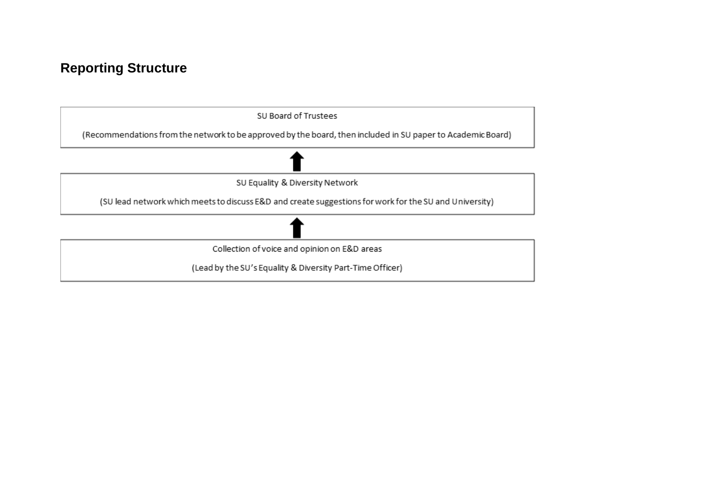# **Reporting Structure**

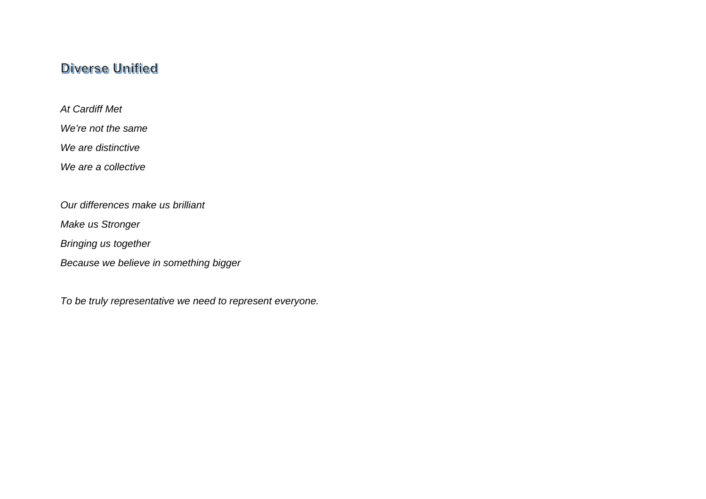# **Diverse Unified**

*At Cardiff Met* 

*We're not the same* 

*We are distinctive* 

*We are a collective*

*Our differences make us brilliant* 

*Make us Stronger*

*Bringing us together* 

*Because we believe in something bigger* 

*To be truly representative we need to represent everyone.*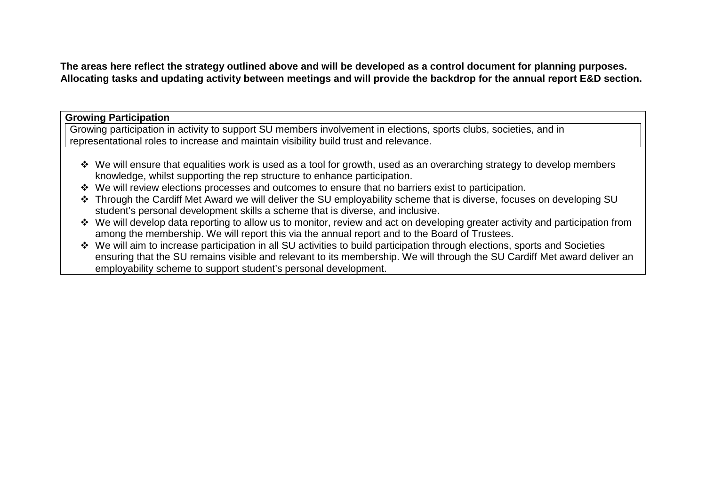**The areas here reflect the strategy outlined above and will be developed as a control document for planning purposes. Allocating tasks and updating activity between meetings and will provide the backdrop for the annual report E&D section.** 

**Growing Participation** 

Growing participation in activity to support SU members involvement in elections, sports clubs, societies, and in representational roles to increase and maintain visibility build trust and relevance.

- We will ensure that equalities work is used as a tool for growth, used as an overarching strategy to develop members knowledge, whilst supporting the rep structure to enhance participation.
- \* We will review elections processes and outcomes to ensure that no barriers exist to participation.
- Through the Cardiff Met Award we will deliver the SU employability scheme that is diverse, focuses on developing SU student's personal development skills a scheme that is diverse, and inclusive.
- We will develop data reporting to allow us to monitor, review and act on developing greater activity and participation from among the membership. We will report this via the annual report and to the Board of Trustees.
- We will aim to increase participation in all SU activities to build participation through elections, sports and Societies ensuring that the SU remains visible and relevant to its membership. We will through the SU Cardiff Met award deliver an employability scheme to support student's personal development.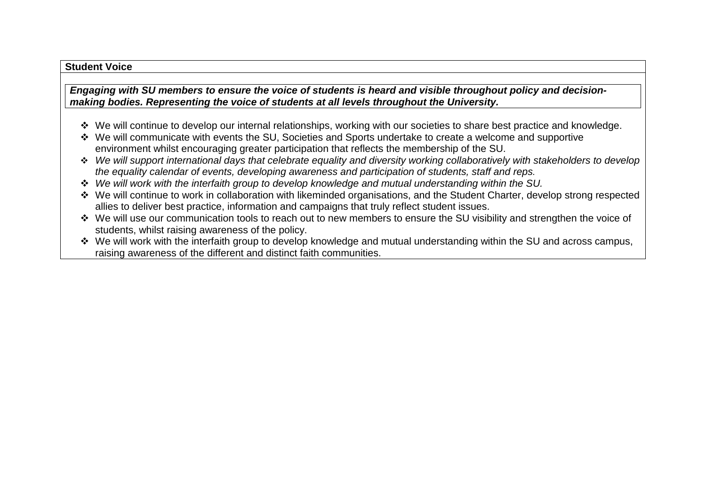#### **Student Voice**

*Engaging with SU members to ensure the voice of students is heard and visible throughout policy and decisionmaking bodies. Representing the voice of students at all levels throughout the University.* 

- \* We will continue to develop our internal relationships, working with our societies to share best practice and knowledge.
- We will communicate with events the SU, Societies and Sports undertake to create a welcome and supportive environment whilst encouraging greater participation that reflects the membership of the SU.
- *We will support international days that celebrate equality and diversity working collaboratively with stakeholders to develop the equality calendar of events, developing awareness and participation of students, staff and reps.*
- *We will work with the interfaith group to develop knowledge and mutual understanding within the SU.*
- We will continue to work in collaboration with likeminded organisations, and the Student Charter, develop strong respected allies to deliver best practice, information and campaigns that truly reflect student issues.
- We will use our communication tools to reach out to new members to ensure the SU visibility and strengthen the voice of students, whilst raising awareness of the policy.
- We will work with the interfaith group to develop knowledge and mutual understanding within the SU and across campus, raising awareness of the different and distinct faith communities.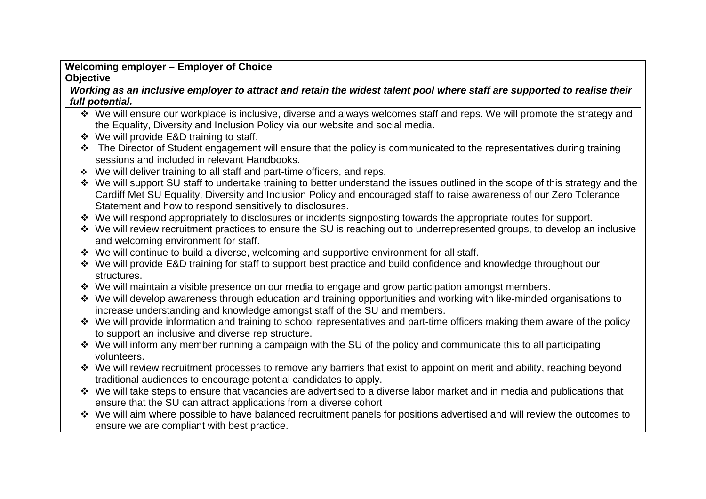# **Welcoming employer – Employer of Choice Objective**

*Working as an inclusive employer to attract and retain the widest talent pool where staff are supported to realise their full potential.*

- ◆ We will ensure our workplace is inclusive, diverse and always welcomes staff and reps. We will promote the strategy and the Equality, Diversity and Inclusion Policy via our website and social media.
- We will provide E&D training to staff.
- \* The Director of Student engagement will ensure that the policy is communicated to the representatives during training sessions and included in relevant Handbooks.
- We will deliver training to all staff and part-time officers, and reps.
- We will support SU staff to undertake training to better understand the issues outlined in the scope of this strategy and the Cardiff Met SU Equality, Diversity and Inclusion Policy and encouraged staff to raise awareness of our Zero Tolerance Statement and how to respond sensitively to disclosures.
- \* We will respond appropriately to disclosures or incidents signposting towards the appropriate routes for support.
- We will review recruitment practices to ensure the SU is reaching out to underrepresented groups, to develop an inclusive and welcoming environment for staff.
- We will continue to build a diverse, welcoming and supportive environment for all staff.
- We will provide E&D training for staff to support best practice and build confidence and knowledge throughout our structures.
- \* We will maintain a visible presence on our media to engage and grow participation amongst members.
- We will develop awareness through education and training opportunities and working with like-minded organisations to increase understanding and knowledge amongst staff of the SU and members.
- We will provide information and training to school representatives and part-time officers making them aware of the policy to support an inclusive and diverse rep structure.
- We will inform any member running a campaign with the SU of the policy and communicate this to all participating volunteers.
- \* We will review recruitment processes to remove any barriers that exist to appoint on merit and ability, reaching beyond traditional audiences to encourage potential candidates to apply.
- \* We will take steps to ensure that vacancies are advertised to a diverse labor market and in media and publications that ensure that the SU can attract applications from a diverse cohort
- We will aim where possible to have balanced recruitment panels for positions advertised and will review the outcomes to ensure we are compliant with best practice.